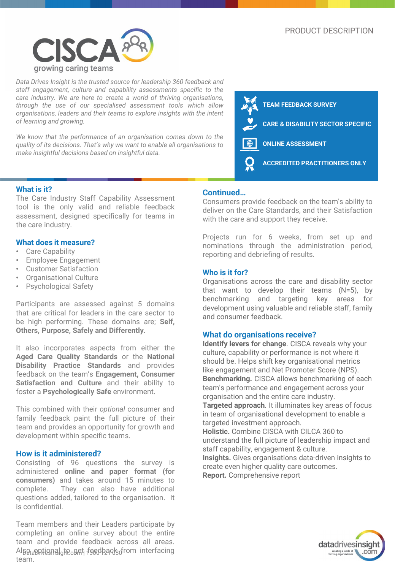

*Data Drives Insight is the trusted source for leadership 360 feedback and staff engagement, culture and capability assessments specific to the care industry. We are here to create a world of thriving organisations, through the use of our specialised assessment tools which allow organisations, leaders and their teams to explore insights with the intent of learning and growing.*

*We know that the performance of an organisation comes down to the quality of its decisions. That's why we want to enable all organisations to make insightful decisions based on insightful data.*



## **What is it?**

The Care Industry Staff Capability Assessment tool is the only valid and reliable feedback assessment, designed specifically for teams in the care industry.

#### **What does it measure?**

- Care Capability
- Employee Engagement
- Customer Satisfaction
- Organisational Culture
- Psychological Safety

Participants are assessed against 5 domains that are critical for leaders in the care sector to be high performing. These domains are; **Self, Others, Purpose, Safely and Differently.**

It also incorporates aspects from either the **Aged Care Quality Standards** or the **National Disability Practice Standards** and provides feedback on the team's **Engagement, Consumer Satisfaction and Culture** and their ability to foster a **Psychologically Safe** environment.

This combined with their *optional* consumer and family feedback paint the full picture of their team and provides an opportunity for growth and development within specific teams.

# **How is it administered?**

Consisting of 96 questions the survey is administered **online and paper format (for consumers)** and takes around 15 minutes to complete. They can also have additional questions added, tailored to the organisation. It is confidential.

Also applional<sub>g</sub>to get feedback from interfacing Team members and their Leaders participate by completing an online survey about the entire team and provide feedback across all areas. team.

# **Continued…**

Consumers provide feedback on the team's ability to deliver on the Care Standards, and their Satisfaction with the care and support they receive.

Projects run for 6 weeks, from set up and nominations through the administration period, reporting and debriefing of results.

#### **Who is it for?**

Organisations across the care and disability sector that want to develop their teams (N=5), by benchmarking and targeting key areas for development using valuable and reliable staff, family and consumer feedback.

## **What do organisations receive?**

**Identify levers for change**. CISCA reveals why your culture, capability or performance is not where it should be. Helps shift key organisational metrics like engagement and Net Promoter Score (NPS). **Benchmarking.** CISCA allows benchmarking of each team's performance and engagement across your organisation and the entire care industry.

**Targeted approach**. It illuminates key areas of focus in team of organisational development to enable a targeted investment approach.

**Holistic.** Combine CISCA with CILCA 360 to understand the full picture of leadership impact and staff capability, engagement & culture. **Insights.** Gives organisations data-driven insights to create even higher quality care outcomes. **Report.** Comprehensive report

datadrivesinsigh